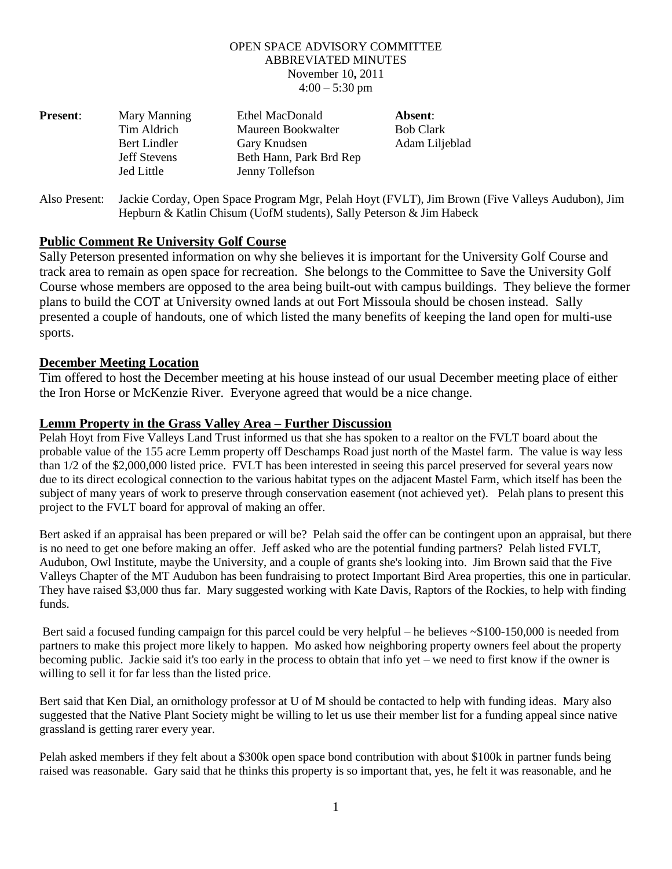## OPEN SPACE ADVISORY COMMITTEE ABBREVIATED MINUTES November 10**,** 2011  $4:00 - 5:30$  pm

| <b>Present:</b> | Mary Manning        | Ethel MacDonald         | Absent:          |
|-----------------|---------------------|-------------------------|------------------|
|                 | Tim Aldrich         | Maureen Bookwalter      | <b>Bob Clark</b> |
|                 | Bert Lindler        | Gary Knudsen            | Adam Liljeblad   |
|                 | <b>Jeff Stevens</b> | Beth Hann, Park Brd Rep |                  |
|                 | Jed Little          | Jenny Tollefson         |                  |
|                 |                     |                         |                  |

Also Present: Jackie Corday, Open Space Program Mgr, Pelah Hoyt (FVLT), Jim Brown (Five Valleys Audubon), Jim Hepburn & Katlin Chisum (UofM students), Sally Peterson & Jim Habeck

# **Public Comment Re University Golf Course**

Sally Peterson presented information on why she believes it is important for the University Golf Course and track area to remain as open space for recreation. She belongs to the Committee to Save the University Golf Course whose members are opposed to the area being built-out with campus buildings. They believe the former plans to build the COT at University owned lands at out Fort Missoula should be chosen instead. Sally presented a couple of handouts, one of which listed the many benefits of keeping the land open for multi-use sports.

## **December Meeting Location**

Tim offered to host the December meeting at his house instead of our usual December meeting place of either the Iron Horse or McKenzie River. Everyone agreed that would be a nice change.

#### **Lemm Property in the Grass Valley Area – Further Discussion**

Pelah Hoyt from Five Valleys Land Trust informed us that she has spoken to a realtor on the FVLT board about the probable value of the 155 acre Lemm property off Deschamps Road just north of the Mastel farm. The value is way less than 1/2 of the \$2,000,000 listed price. FVLT has been interested in seeing this parcel preserved for several years now due to its direct ecological connection to the various habitat types on the adjacent Mastel Farm, which itself has been the subject of many years of work to preserve through conservation easement (not achieved yet). Pelah plans to present this project to the FVLT board for approval of making an offer.

Bert asked if an appraisal has been prepared or will be? Pelah said the offer can be contingent upon an appraisal, but there is no need to get one before making an offer. Jeff asked who are the potential funding partners? Pelah listed FVLT, Audubon, Owl Institute, maybe the University, and a couple of grants she's looking into. Jim Brown said that the Five Valleys Chapter of the MT Audubon has been fundraising to protect Important Bird Area properties, this one in particular. They have raised \$3,000 thus far. Mary suggested working with Kate Davis, Raptors of the Rockies, to help with finding funds.

Bert said a focused funding campaign for this parcel could be very helpful – he believes ~\$100-150,000 is needed from partners to make this project more likely to happen. Mo asked how neighboring property owners feel about the property becoming public. Jackie said it's too early in the process to obtain that info yet – we need to first know if the owner is willing to sell it for far less than the listed price.

Bert said that Ken Dial, an ornithology professor at U of M should be contacted to help with funding ideas. Mary also suggested that the Native Plant Society might be willing to let us use their member list for a funding appeal since native grassland is getting rarer every year.

Pelah asked members if they felt about a \$300k open space bond contribution with about \$100k in partner funds being raised was reasonable. Gary said that he thinks this property is so important that, yes, he felt it was reasonable, and he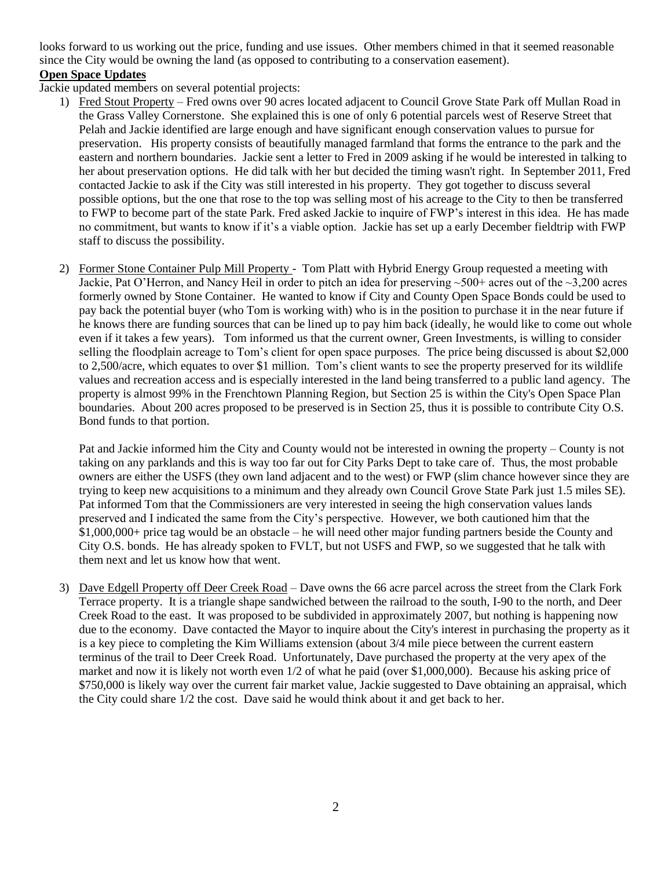looks forward to us working out the price, funding and use issues. Other members chimed in that it seemed reasonable since the City would be owning the land (as opposed to contributing to a conservation easement). **Open Space Updates**

Jackie updated members on several potential projects:

- 1) Fred Stout Property Fred owns over 90 acres located adjacent to Council Grove State Park off Mullan Road in the Grass Valley Cornerstone. She explained this is one of only 6 potential parcels west of Reserve Street that Pelah and Jackie identified are large enough and have significant enough conservation values to pursue for preservation. His property consists of beautifully managed farmland that forms the entrance to the park and the eastern and northern boundaries. Jackie sent a letter to Fred in 2009 asking if he would be interested in talking to her about preservation options. He did talk with her but decided the timing wasn't right. In September 2011, Fred contacted Jackie to ask if the City was still interested in his property. They got together to discuss several possible options, but the one that rose to the top was selling most of his acreage to the City to then be transferred to FWP to become part of the state Park. Fred asked Jackie to inquire of FWP's interest in this idea. He has made no commitment, but wants to know if it's a viable option. Jackie has set up a early December fieldtrip with FWP staff to discuss the possibility.
- 2) Former Stone Container Pulp Mill Property Tom Platt with Hybrid Energy Group requested a meeting with Jackie, Pat O'Herron, and Nancy Heil in order to pitch an idea for preserving ~500+ acres out of the ~3,200 acres formerly owned by Stone Container. He wanted to know if City and County Open Space Bonds could be used to pay back the potential buyer (who Tom is working with) who is in the position to purchase it in the near future if he knows there are funding sources that can be lined up to pay him back (ideally, he would like to come out whole even if it takes a few years). Tom informed us that the current owner, Green Investments, is willing to consider selling the floodplain acreage to Tom's client for open space purposes. The price being discussed is about \$2,000 to 2,500/acre, which equates to over \$1 million. Tom's client wants to see the property preserved for its wildlife values and recreation access and is especially interested in the land being transferred to a public land agency. The property is almost 99% in the Frenchtown Planning Region, but Section 25 is within the City's Open Space Plan boundaries. About 200 acres proposed to be preserved is in Section 25, thus it is possible to contribute City O.S. Bond funds to that portion.

Pat and Jackie informed him the City and County would not be interested in owning the property – County is not taking on any parklands and this is way too far out for City Parks Dept to take care of. Thus, the most probable owners are either the USFS (they own land adjacent and to the west) or FWP (slim chance however since they are trying to keep new acquisitions to a minimum and they already own Council Grove State Park just 1.5 miles SE). Pat informed Tom that the Commissioners are very interested in seeing the high conservation values lands preserved and I indicated the same from the City's perspective. However, we both cautioned him that the \$1,000,000+ price tag would be an obstacle – he will need other major funding partners beside the County and City O.S. bonds. He has already spoken to FVLT, but not USFS and FWP, so we suggested that he talk with them next and let us know how that went.

3) Dave Edgell Property off Deer Creek Road – Dave owns the 66 acre parcel across the street from the Clark Fork Terrace property. It is a triangle shape sandwiched between the railroad to the south, I-90 to the north, and Deer Creek Road to the east. It was proposed to be subdivided in approximately 2007, but nothing is happening now due to the economy. Dave contacted the Mayor to inquire about the City's interest in purchasing the property as it is a key piece to completing the Kim Williams extension (about 3/4 mile piece between the current eastern terminus of the trail to Deer Creek Road. Unfortunately, Dave purchased the property at the very apex of the market and now it is likely not worth even 1/2 of what he paid (over \$1,000,000). Because his asking price of \$750,000 is likely way over the current fair market value, Jackie suggested to Dave obtaining an appraisal, which the City could share 1/2 the cost. Dave said he would think about it and get back to her.